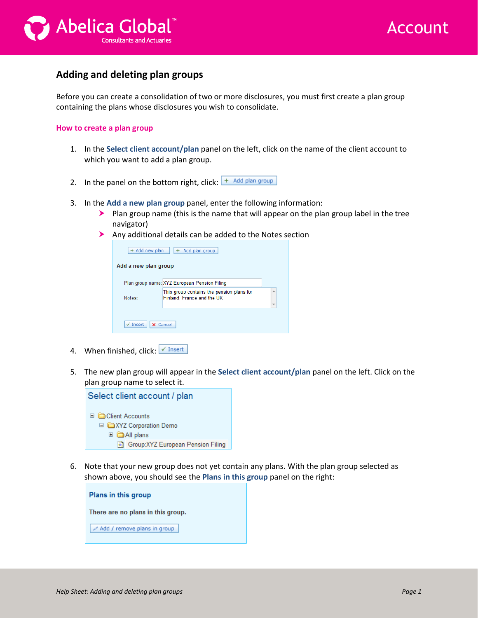



## **Adding and deleting plan groups**

Before you can create a consolidation of two or more disclosures, you must first create a plan group containing the plans whose disclosures you wish to consolidate.

## **How to create a plan group**

- 1. In the **Select client account/plan** panel on the left, click on the name of the client account to which you want to add a plan group.
- 2. In the panel on the bottom right, click:  $\frac{1 + \text{ Add plan group}}{1 + \text{ Add plan group}}$
- 3. In the **Add a new plan group** panel, enter the following information:
	- $\blacktriangleright$  Plan group name (this is the name that will appear on the plan group label in the tree navigator)
	- Any additional details can be added to the Notes section

| + Add new plan<br>Add plan group |                                                                         |                          |
|----------------------------------|-------------------------------------------------------------------------|--------------------------|
| Add a new plan group             |                                                                         |                          |
|                                  | Plan group name: XYZ European Pension Filing                            |                          |
| Notes:                           | This group contains the pension plans for<br>Finland, France and the UK | 人<br>$\overline{\nabla}$ |
|                                  |                                                                         |                          |
| $\checkmark$ Insert              | X Cancel                                                                |                          |

- 4. When finished, click:  $\sqrt{I}$  Insert
- 5. The new plan group will appear in the **Select client account/plan** panel on the left. Click on the plan group name to select it.



6. Note that your new group does not yet contain any plans. With the plan group selected as shown above, you should see the **Plans in this group** panel on the right:

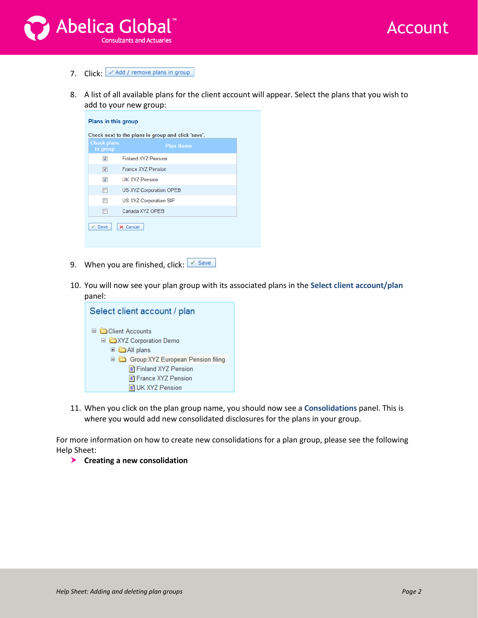



- 7. Click: Add / remove plans in group
- 8. A list of all available plans for the client account will appear. Select the plans that you wish to add to your new group:

| Plans in this group            |                                                    |  |  |
|--------------------------------|----------------------------------------------------|--|--|
|                                | Check next to the plans in group and click 'save'. |  |  |
| <b>Check plans</b><br>in group | <b>Plan Name</b>                                   |  |  |
| $\overline{\mathsf{v}}$        | <b>Finland XY7 Pension</b>                         |  |  |
| $\overline{\mathsf{v}}$        | France XY7 Pension                                 |  |  |
| $\overline{\mathbf{v}}$        | UK XYZ Pension                                     |  |  |
| $\blacksquare$                 | US XYZ Corporation OPEB                            |  |  |
| $\overline{\phantom{a}}$       | US XYZ Corporation SIP                             |  |  |
| F                              | Canada XYZ OPEB                                    |  |  |
| $\checkmark$ Save              | X Cancel                                           |  |  |

- 9. When you are finished, click:  $\sqrt{s_{ave}}$
- 10. You will now see your plan group with its associated plans in the **Select client account/plan** panel:



11. When you click on the plan group name, you should now see a **Consolidations** panel. This is where you would add new consolidated disclosures for the plans in your group.

For more information on how to create new consolidations for a plan group, please see the following Help Sheet:

**Creating a new consolidation**